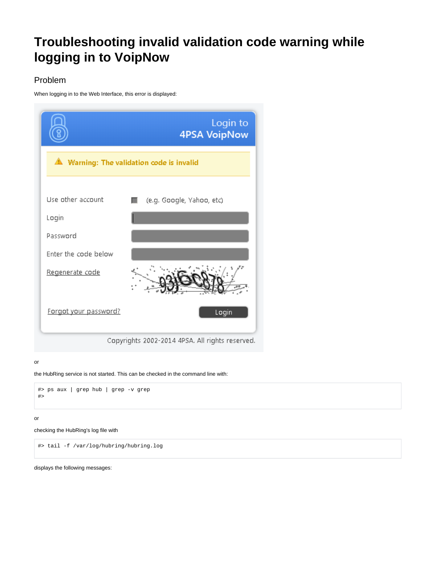# <span id="page-0-0"></span>**Troubleshooting invalid validation code warning while logging in to VoipNow**

## Problem

When logging in to the Web Interface, this error is displayed:



Copyrights 2002-2014 4PSA. All rights reserved.

#### or

the HubRing service is not started. This can be checked in the command line with:

```
#> ps aux | grep hub | grep -v grep
#>
```
#### or

```
checking the HubRing's log file with
```
#> tail -f /var/log/hubring/hubring.log

displays the following messages: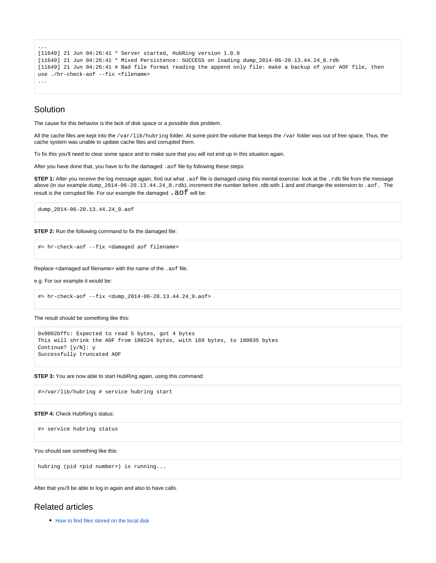```
...
[11649] 21 Jun 04:26:41 * Server started, HubRing version 1.0.0
[11649] 21 Jun 04:26:41 * Mixed Persistence: SUCCESS on loading dump 2014-06-20.13.44.24 8.rdb
[11649] 21 Jun 04:26:41 # Bad file format reading the append only file: make a backup of your AOF file, then 
use ./hr-check-aof --fix <filename>
...
```
## Solution

The cause for this behavior is the lack of disk space or a possible disk problem.

All the cache files are kept into the /var/lib/hubring folder. At some point the volume that keeps the /var folder was out of free space. Thus, the cache system was unable to update cache files and corrupted them.

To fix this you'll need to clear some space and to make sure that you will not end up in this situation again.

After you have done that, you have to fix the damaged .aof file by following these steps:

**STEP 1:** After you receive the log message again, find out what .aof file is damaged using this mental exercise: look at the .rdb file from the message above (in our example dump\_2014-06-20.13.44.24\_8.rdb), increment the number before .rdb with 1 and and change the extension to .aof. The result is the corrupted file. For our example the damaged  $. a of$  will be:

dump\_2014-06-20.13.44.24\_9.aof

**STEP 2:** Run the following command to fix the damaged file:

```
#> hr-check-aof --fix <damaged aof filename>
```
Replace <damaged aof filename> with the name of the .aof file.

e.g. For our example it would be:

```
#> hr-check-aof --fix <dump_2014-06-20.13.44.24_9.aof>
```
The result should be something like this:

```
0x0002bffc: Expected to read 5 bytes, got 4 bytes
This will shrink the AOF from 180224 bytes, with 189 bytes, to 180035 bytes
Continue? [y/N]: y
Successfully truncated AOF
```
**STEP 3:** You are now able to start HubRing again, using this command:

#>/var/lib/hubring # service hubring start

#### **STEP 4:** Check HubRing's status:

#> service hubring status

You should see something like this:

hubring (pid <pid number>) is running...

After that you'll be able to log in again and also to have calls.

### Related articles

• [How to find files stored on the local disk](https://wiki.4psa.com/display/KB/How+to+find+files+stored+on+the+local+disk)